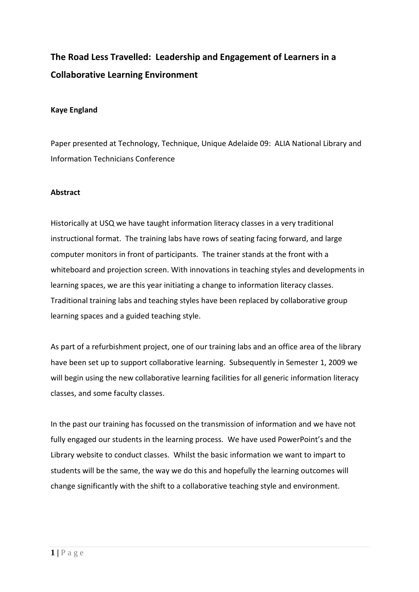# **The Road Less Travelled: Leadership and Engagement of Learners in a Collaborative Learning Environment**

## **Kaye England**

Paper presented at Technology, Technique, Unique Adelaide 09: ALIA National Library and Information Technicians Conference

## **Abstract**

Historically at USQ we have taught information literacy classes in a very traditional instructional format. The training labs have rows of seating facing forward, and large computer monitors in front of participants. The trainer stands at the front with a whiteboard and projection screen. With innovations in teaching styles and developments in learning spaces, we are this year initiating a change to information literacy classes. Traditional training labs and teaching styles have been replaced by collaborative group learning spaces and a guided teaching style.

As part of a refurbishment project, one of our training labs and an office area of the library have been set up to support collaborative learning. Subsequently in Semester 1, 2009 we will begin using the new collaborative learning facilities for all generic information literacy classes, and some faculty classes.

In the past our training has focussed on the transmission of information and we have not fully engaged our students in the learning process. We have used PowerPoint's and the Library website to conduct classes. Whilst the basic information we want to impart to students will be the same, the way we do this and hopefully the learning outcomes will change significantly with the shift to a collaborative teaching style and environment.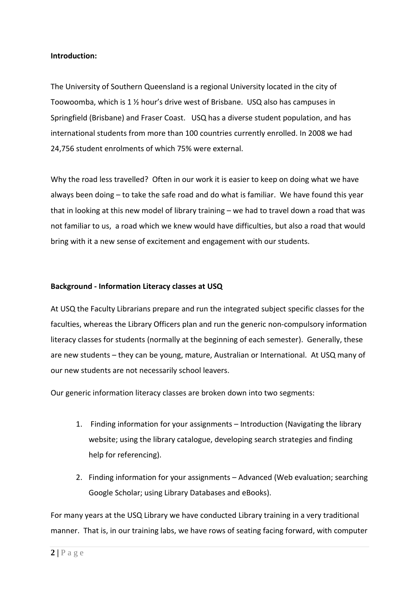## **Introduction:**

The University of Southern Queensland is a regional University located in the city of Toowoomba, which is 1 ½ hour's drive west of Brisbane. USQ also has campuses in Springfield (Brisbane) and Fraser Coast. USQ has a diverse student population, and has international students from more than 100 countries currently enrolled. In 2008 we had 24,756 student enrolments of which 75% were external.

Why the road less travelled? Often in our work it is easier to keep on doing what we have always been doing – to take the safe road and do what is familiar. We have found this year that in looking at this new model of library training – we had to travel down a road that was not familiar to us, a road which we knew would have difficulties, but also a road that would bring with it a new sense of excitement and engagement with our students.

## **Background - Information Literacy classes at USQ**

At USQ the Faculty Librarians prepare and run the integrated subject specific classes for the faculties, whereas the Library Officers plan and run the generic non-compulsory information literacy classes for students (normally at the beginning of each semester). Generally, these are new students – they can be young, mature, Australian or International. At USQ many of our new students are not necessarily school leavers.

Our generic information literacy classes are broken down into two segments:

- 1. Finding information for your assignments Introduction (Navigating the library website; using the library catalogue, developing search strategies and finding help for referencing).
- 2. Finding information for your assignments Advanced (Web evaluation; searching Google Scholar; using Library Databases and eBooks).

For many years at the USQ Library we have conducted Library training in a very traditional manner. That is, in our training labs, we have rows of seating facing forward, with computer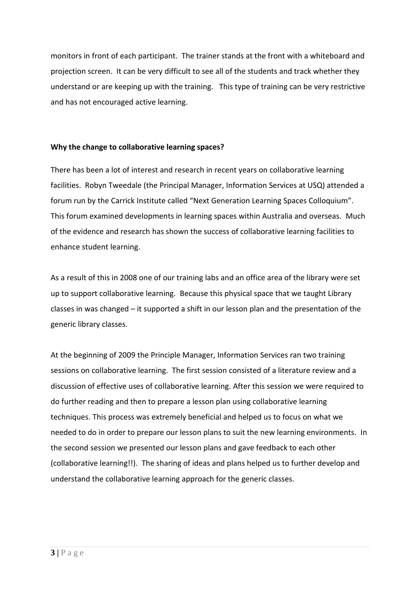monitors in front of each participant. The trainer stands at the front with a whiteboard and projection screen. It can be very difficult to see all of the students and track whether they understand or are keeping up with the training. This type of training can be very restrictive and has not encouraged active learning.

# **Why the change to collaborative learning spaces?**

There has been a lot of interest and research in recent years on collaborative learning facilities. Robyn Tweedale (the Principal Manager, Information Services at USQ) attended a forum run by the Carrick Institute called "Next Generation Learning Spaces Colloquium". This forum examined developments in learning spaces within Australia and overseas. Much of the evidence and research has shown the success of collaborative learning facilities to enhance student learning.

As a result of this in 2008 one of our training labs and an office area of the library were set up to support collaborative learning. Because this physical space that we taught Library classes in was changed – it supported a shift in our lesson plan and the presentation of the generic library classes.

At the beginning of 2009 the Principle Manager, Information Services ran two training sessions on collaborative learning. The first session consisted of a literature review and a discussion of effective uses of collaborative learning. After this session we were required to do further reading and then to prepare a lesson plan using collaborative learning techniques. This process was extremely beneficial and helped us to focus on what we needed to do in order to prepare our lesson plans to suit the new learning environments. In the second session we presented our lesson plans and gave feedback to each other (collaborative learning!!). The sharing of ideas and plans helped us to further develop and understand the collaborative learning approach for the generic classes.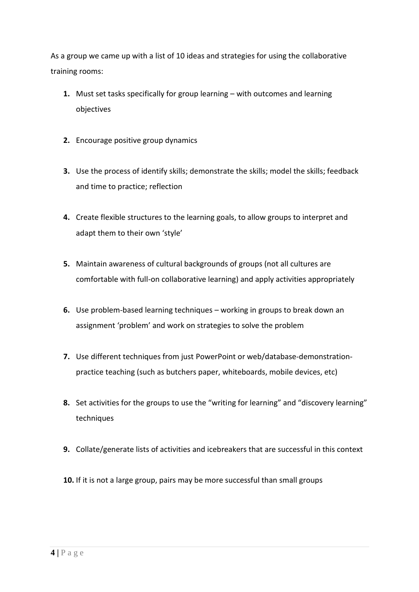As a group we came up with a list of 10 ideas and strategies for using the collaborative training rooms:

- **1.** Must set tasks specifically for group learning with outcomes and learning objectives
- **2.** Encourage positive group dynamics
- **3.** Use the process of identify skills; demonstrate the skills; model the skills; feedback and time to practice; reflection
- **4.** Create flexible structures to the learning goals, to allow groups to interpret and adapt them to their own 'style'
- **5.** Maintain awareness of cultural backgrounds of groups (not all cultures are comfortable with full-on collaborative learning) and apply activities appropriately
- **6.** Use problem-based learning techniques working in groups to break down an assignment 'problem' and work on strategies to solve the problem
- **7.** Use different techniques from just PowerPoint or web/database-demonstrationpractice teaching (such as butchers paper, whiteboards, mobile devices, etc)
- **8.** Set activities for the groups to use the "writing for learning" and "discovery learning" techniques
- **9.** Collate/generate lists of activities and icebreakers that are successful in this context
- **10.** If it is not a large group, pairs may be more successful than small groups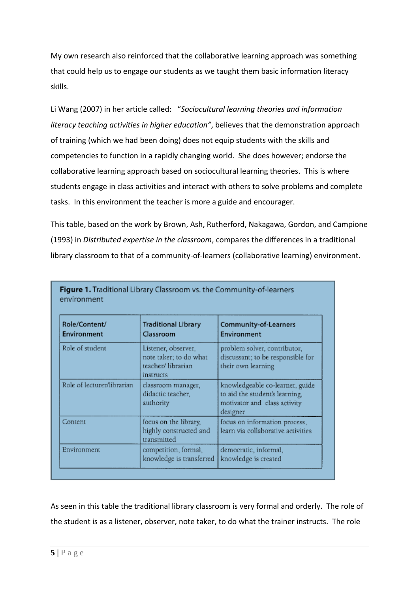My own research also reinforced that the collaborative learning approach was something that could help us to engage our students as we taught them basic information literacy skills.

Li Wang (2007) in her article called: "*Sociocultural learning theories and information literacy teaching activities in higher education"*, believes that the demonstration approach of training (which we had been doing) does not equip students with the skills and competencies to function in a rapidly changing world. She does however; endorse the collaborative learning approach based on sociocultural learning theories. This is where students engage in class activities and interact with others to solve problems and complete tasks. In this environment the teacher is more a guide and encourager.

This table, based on the work by Brown, Ash, Rutherford, Nakagawa, Gordon, and Campione (1993) in *Distributed expertise in the classroom*, compares the differences in a traditional library classroom to that of a community-of-learners (collaborative learning) environment.

| Role/Content/<br>Environment | <b>Traditional Library</b><br>Classroom                                         | <b>Community-of-Learners</b><br>Environment                                                                   |
|------------------------------|---------------------------------------------------------------------------------|---------------------------------------------------------------------------------------------------------------|
| Role of student              | Listener, observer,<br>note taker; to do what<br>teacher/librarian<br>instructs | problem solver, contributor,<br>discussant; to be responsible for<br>their own learning                       |
| Role of lecturer/librarian   | classroom manager,<br>didactic teacher,<br>authority                            | knowledgeable co-learner, guide<br>to aid the student's learning,<br>motivator and class activity<br>designer |
| Content                      | focus on the library,<br>highly constructed and<br>transmitted                  | focus on information process,<br>learn via collaborative activities                                           |
| Environment                  | competition, formal,<br>knowledge is transferred                                | democratic, informal,<br>knowledge is created                                                                 |

As seen in this table the traditional library classroom is very formal and orderly. The role of the student is as a listener, observer, note taker, to do what the trainer instructs. The role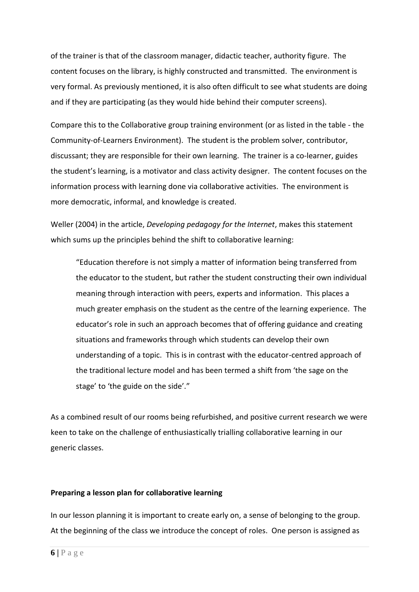of the trainer is that of the classroom manager, didactic teacher, authority figure. The content focuses on the library, is highly constructed and transmitted. The environment is very formal. As previously mentioned, it is also often difficult to see what students are doing and if they are participating (as they would hide behind their computer screens).

Compare this to the Collaborative group training environment (or as listed in the table - the Community-of-Learners Environment). The student is the problem solver, contributor, discussant; they are responsible for their own learning. The trainer is a co-learner, guides the student's learning, is a motivator and class activity designer. The content focuses on the information process with learning done via collaborative activities. The environment is more democratic, informal, and knowledge is created.

Weller (2004) in the article, *Developing pedagogy for the Internet*, makes this statement which sums up the principles behind the shift to collaborative learning:

"Education therefore is not simply a matter of information being transferred from the educator to the student, but rather the student constructing their own individual meaning through interaction with peers, experts and information. This places a much greater emphasis on the student as the centre of the learning experience. The educator's role in such an approach becomes that of offering guidance and creating situations and frameworks through which students can develop their own understanding of a topic. This is in contrast with the educator-centred approach of the traditional lecture model and has been termed a shift from 'the sage on the stage' to 'the guide on the side'."

As a combined result of our rooms being refurbished, and positive current research we were keen to take on the challenge of enthusiastically trialling collaborative learning in our generic classes.

#### **Preparing a lesson plan for collaborative learning**

In our lesson planning it is important to create early on, a sense of belonging to the group. At the beginning of the class we introduce the concept of roles. One person is assigned as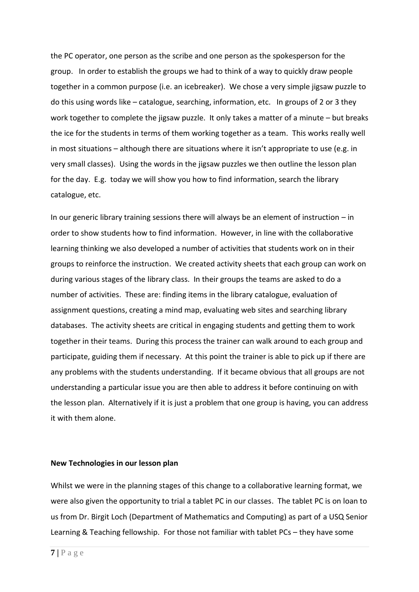the PC operator, one person as the scribe and one person as the spokesperson for the group. In order to establish the groups we had to think of a way to quickly draw people together in a common purpose (i.e. an icebreaker). We chose a very simple jigsaw puzzle to do this using words like – catalogue, searching, information, etc. In groups of 2 or 3 they work together to complete the jigsaw puzzle. It only takes a matter of a minute – but breaks the ice for the students in terms of them working together as a team. This works really well in most situations – although there are situations where it isn't appropriate to use (e.g. in very small classes). Using the words in the jigsaw puzzles we then outline the lesson plan for the day. E.g. today we will show you how to find information, search the library catalogue, etc.

In our generic library training sessions there will always be an element of instruction – in order to show students how to find information. However, in line with the collaborative learning thinking we also developed a number of activities that students work on in their groups to reinforce the instruction. We created activity sheets that each group can work on during various stages of the library class. In their groups the teams are asked to do a number of activities. These are: finding items in the library catalogue, evaluation of assignment questions, creating a mind map, evaluating web sites and searching library databases. The activity sheets are critical in engaging students and getting them to work together in their teams. During this process the trainer can walk around to each group and participate, guiding them if necessary. At this point the trainer is able to pick up if there are any problems with the students understanding. If it became obvious that all groups are not understanding a particular issue you are then able to address it before continuing on with the lesson plan. Alternatively if it is just a problem that one group is having, you can address it with them alone.

#### **New Technologies in our lesson plan**

Whilst we were in the planning stages of this change to a collaborative learning format, we were also given the opportunity to trial a tablet PC in our classes. The tablet PC is on loan to us from Dr. Birgit Loch (Department of Mathematics and Computing) as part of a USQ Senior Learning & Teaching fellowship. For those not familiar with tablet PCs – they have some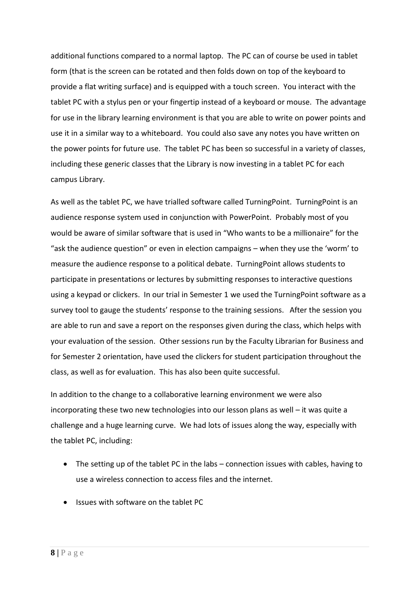additional functions compared to a normal laptop. The PC can of course be used in tablet form (that is the screen can be rotated and then folds down on top of the keyboard to provide a flat writing surface) and is equipped with a touch screen. You interact with the tablet PC with a stylus pen or your fingertip instead of a keyboard or mouse. The advantage for use in the library learning environment is that you are able to write on power points and use it in a similar way to a whiteboard. You could also save any notes you have written on the power points for future use. The tablet PC has been so successful in a variety of classes, including these generic classes that the Library is now investing in a tablet PC for each campus Library.

As well as the tablet PC, we have trialled software called TurningPoint. TurningPoint is an audience response system used in conjunction with PowerPoint. Probably most of you would be aware of similar software that is used in "Who wants to be a millionaire" for the "ask the audience question" or even in election campaigns – when they use the 'worm' to measure the audience response to a political debate. TurningPoint allows students to participate in presentations or lectures by submitting responses to interactive questions using a keypad or clickers. In our trial in Semester 1 we used the TurningPoint software as a survey tool to gauge the students' response to the training sessions. After the session you are able to run and save a report on the responses given during the class, which helps with your evaluation of the session. Other sessions run by the Faculty Librarian for Business and for Semester 2 orientation, have used the clickers for student participation throughout the class, as well as for evaluation. This has also been quite successful.

In addition to the change to a collaborative learning environment we were also incorporating these two new technologies into our lesson plans as well – it was quite a challenge and a huge learning curve. We had lots of issues along the way, especially with the tablet PC, including:

- The setting up of the tablet PC in the labs connection issues with cables, having to use a wireless connection to access files and the internet.
- Issues with software on the tablet PC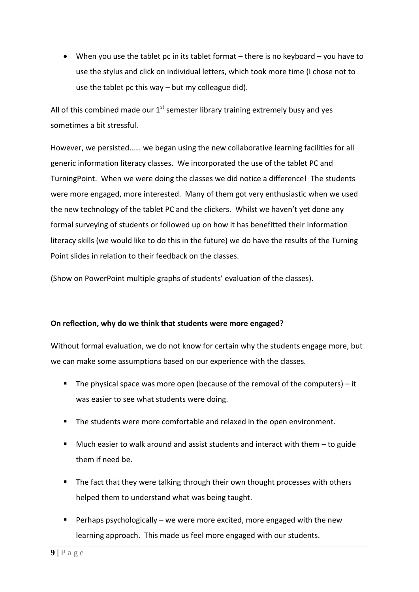When you use the tablet pc in its tablet format – there is no keyboard – you have to use the stylus and click on individual letters, which took more time (I chose not to use the tablet pc this way – but my colleague did).

All of this combined made our  $1<sup>st</sup>$  semester library training extremely busy and yes sometimes a bit stressful.

However, we persisted…… we began using the new collaborative learning facilities for all generic information literacy classes. We incorporated the use of the tablet PC and TurningPoint. When we were doing the classes we did notice a difference! The students were more engaged, more interested. Many of them got very enthusiastic when we used the new technology of the tablet PC and the clickers. Whilst we haven't yet done any formal surveying of students or followed up on how it has benefitted their information literacy skills (we would like to do this in the future) we do have the results of the Turning Point slides in relation to their feedback on the classes.

(Show on PowerPoint multiple graphs of students' evaluation of the classes).

# **On reflection, why do we think that students were more engaged?**

Without formal evaluation, we do not know for certain why the students engage more, but we can make some assumptions based on our experience with the classes.

- The physical space was more open (because of the removal of the computers)  $-$  it was easier to see what students were doing.
- The students were more comfortable and relaxed in the open environment.
- $\blacksquare$  Much easier to walk around and assist students and interact with them  $-$  to guide them if need be.
- **The fact that they were talking through their own thought processes with others** helped them to understand what was being taught.
- Perhaps psychologically we were more excited, more engaged with the new learning approach. This made us feel more engaged with our students.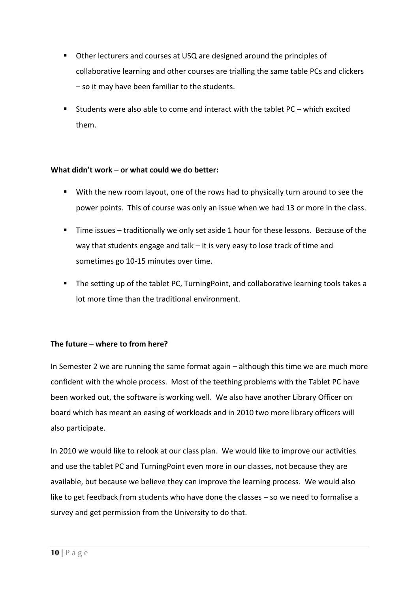- Other lecturers and courses at USQ are designed around the principles of collaborative learning and other courses are trialling the same table PCs and clickers – so it may have been familiar to the students.
- Students were also able to come and interact with the tablet PC which excited them.

# **What didn't work – or what could we do better:**

- With the new room layout, one of the rows had to physically turn around to see the power points. This of course was only an issue when we had 13 or more in the class.
- Time issues traditionally we only set aside 1 hour for these lessons. Because of the way that students engage and talk – it is very easy to lose track of time and sometimes go 10-15 minutes over time.
- The setting up of the tablet PC, TurningPoint, and collaborative learning tools takes a lot more time than the traditional environment.

# **The future – where to from here?**

In Semester 2 we are running the same format again – although this time we are much more confident with the whole process. Most of the teething problems with the Tablet PC have been worked out, the software is working well. We also have another Library Officer on board which has meant an easing of workloads and in 2010 two more library officers will also participate.

In 2010 we would like to relook at our class plan. We would like to improve our activities and use the tablet PC and TurningPoint even more in our classes, not because they are available, but because we believe they can improve the learning process. We would also like to get feedback from students who have done the classes – so we need to formalise a survey and get permission from the University to do that.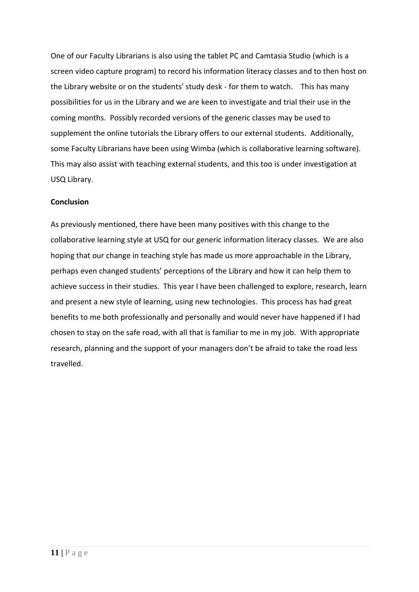One of our Faculty Librarians is also using the tablet PC and Camtasia Studio (which is a screen video capture program) to record his information literacy classes and to then host on the Library website or on the students' study desk - for them to watch. This has many possibilities for us in the Library and we are keen to investigate and trial their use in the coming months. Possibly recorded versions of the generic classes may be used to supplement the online tutorials the Library offers to our external students. Additionally, some Faculty Librarians have been using Wimba (which is collaborative learning software). This may also assist with teaching external students, and this too is under investigation at USQ Library.

# **Conclusion**

As previously mentioned, there have been many positives with this change to the collaborative learning style at USQ for our generic information literacy classes. We are also hoping that our change in teaching style has made us more approachable in the Library, perhaps even changed students' perceptions of the Library and how it can help them to achieve success in their studies. This year I have been challenged to explore, research, learn and present a new style of learning, using new technologies. This process has had great benefits to me both professionally and personally and would never have happened if I had chosen to stay on the safe road, with all that is familiar to me in my job. With appropriate research, planning and the support of your managers don't be afraid to take the road less travelled.